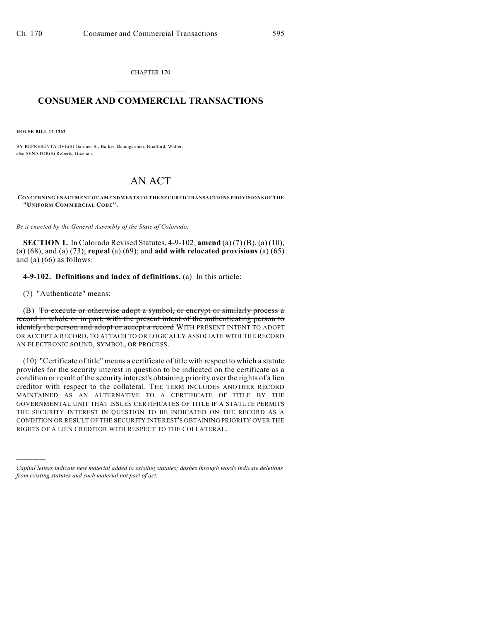CHAPTER 170  $\overline{\phantom{a}}$  . The set of the set of the set of the set of the set of the set of the set of the set of the set of the set of the set of the set of the set of the set of the set of the set of the set of the set of the set o

## **CONSUMER AND COMMERCIAL TRANSACTIONS**  $\frac{1}{2}$  ,  $\frac{1}{2}$  ,  $\frac{1}{2}$  ,  $\frac{1}{2}$  ,  $\frac{1}{2}$  ,  $\frac{1}{2}$

**HOUSE BILL 12-1262**

BY REPRESENTATIVE(S) Gardner B., Barker, Baumgardner, Bradford, Waller; also SENATOR(S) Roberts, Guzman.

# AN ACT

**CONCERNING ENACTMENT OF AMENDMENTS TO THE SECURED TRANSACTIONS PROVISIONS OF THE "UNIFORM COMMERCIAL CODE".**

*Be it enacted by the General Assembly of the State of Colorado:*

**SECTION 1.** In Colorado Revised Statutes, 4-9-102, **amend** (a) (7) (B), (a) (10), (a) (68), and (a) (73); **repeal** (a) (69); and **add with relocated provisions** (a) (65) and (a)  $(66)$  as follows:

**4-9-102. Definitions and index of definitions.** (a) In this article:

(7) "Authenticate" means:

)))))

(B) To execute or otherwise adopt a symbol, or encrypt or similarly process a record in whole or in part, with the present intent of the authenticating person to identify the person and adopt or accept a record WITH PRESENT INTENT TO ADOPT OR ACCEPT A RECORD, TO ATTACH TO OR LOGICALLY ASSOCIATE WITH THE RECORD AN ELECTRONIC SOUND, SYMBOL, OR PROCESS.

(10) "Certificate of title" means a certificate of title with respect to which a statute provides for the security interest in question to be indicated on the certificate as a condition or result of the security interest's obtaining priority over the rights of a lien creditor with respect to the collateral. THE TERM INCLUDES ANOTHER RECORD MAINTAINED AS AN ALTERNATIVE TO A CERTIFICATE OF TITLE BY THE GOVERNMENTAL UNIT THAT ISSUES CERTIFICATES OF TITLE IF A STATUTE PERMITS THE SECURITY INTEREST IN QUESTION TO BE INDICATED ON THE RECORD AS A CONDITION OR RESULT OF THE SECURITY INTEREST'S OBTAINING PRIORITY OVER THE RIGHTS OF A LIEN CREDITOR WITH RESPECT TO THE COLLATERAL.

*Capital letters indicate new material added to existing statutes; dashes through words indicate deletions from existing statutes and such material not part of act.*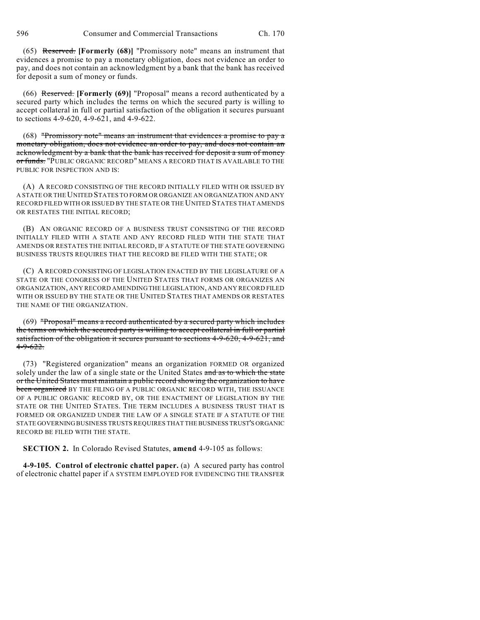(65) Reserved. **[Formerly (68)]** "Promissory note" means an instrument that evidences a promise to pay a monetary obligation, does not evidence an order to pay, and does not contain an acknowledgment by a bank that the bank has received for deposit a sum of money or funds.

(66) Reserved. **[Formerly (69)]** "Proposal" means a record authenticated by a secured party which includes the terms on which the secured party is willing to accept collateral in full or partial satisfaction of the obligation it secures pursuant to sections 4-9-620, 4-9-621, and 4-9-622.

(68) "Promissory note" means an instrument that evidences a promise to pay a monetary obligation, does not evidence an order to pay, and does not contain an acknowledgment by a bank that the bank has received for deposit a sum of money or funds. "PUBLIC ORGANIC RECORD" MEANS A RECORD THAT IS AVAILABLE TO THE PUBLIC FOR INSPECTION AND IS:

(A) A RECORD CONSISTING OF THE RECORD INITIALLY FILED WITH OR ISSUED BY A STATE OR THE UNITED STATES TO FORM OR ORGANIZE AN ORGANIZATION AND ANY RECORD FILED WITH OR ISSUED BY THE STATE OR THE UNITED STATES THAT AMENDS OR RESTATES THE INITIAL RECORD;

(B) AN ORGANIC RECORD OF A BUSINESS TRUST CONSISTING OF THE RECORD INITIALLY FILED WITH A STATE AND ANY RECORD FILED WITH THE STATE THAT AMENDS OR RESTATES THE INITIAL RECORD, IF A STATUTE OF THE STATE GOVERNING BUSINESS TRUSTS REQUIRES THAT THE RECORD BE FILED WITH THE STATE; OR

(C) A RECORD CONSISTING OF LEGISLATION ENACTED BY THE LEGISLATURE OF A STATE OR THE CONGRESS OF THE UNITED STATES THAT FORMS OR ORGANIZES AN ORGANIZATION, ANY RECORD AMENDING THE LEGISLATION, AND ANY RECORD FILED WITH OR ISSUED BY THE STATE OR THE UNITED STATES THAT AMENDS OR RESTATES THE NAME OF THE ORGANIZATION.

(69) "Proposal" means a record authenticated by a secured party which includes the terms on which the secured party is willing to accept collateral in full or partial satisfaction of the obligation it secures pursuant to sections 4-9-620, 4-9-621, and  $4 - 9 - 622$ .

(73) "Registered organization" means an organization FORMED OR organized solely under the law of a single state or the United States and as to which the state or the United States must maintain a public record showing the organization to have been organized BY THE FILING OF A PUBLIC ORGANIC RECORD WITH, THE ISSUANCE OF A PUBLIC ORGANIC RECORD BY, OR THE ENACTMENT OF LEGISLATION BY THE STATE OR THE UNITED STATES. THE TERM INCLUDES A BUSINESS TRUST THAT IS FORMED OR ORGANIZED UNDER THE LAW OF A SINGLE STATE IF A STATUTE OF THE STATE GOVERNING BUSINESS TRUSTS REQUIRES THAT THE BUSINESS TRUST'S ORGANIC RECORD BE FILED WITH THE STATE.

**SECTION 2.** In Colorado Revised Statutes, **amend** 4-9-105 as follows:

**4-9-105. Control of electronic chattel paper.** (a) A secured party has control of electronic chattel paper if A SYSTEM EMPLOYED FOR EVIDENCING THE TRANSFER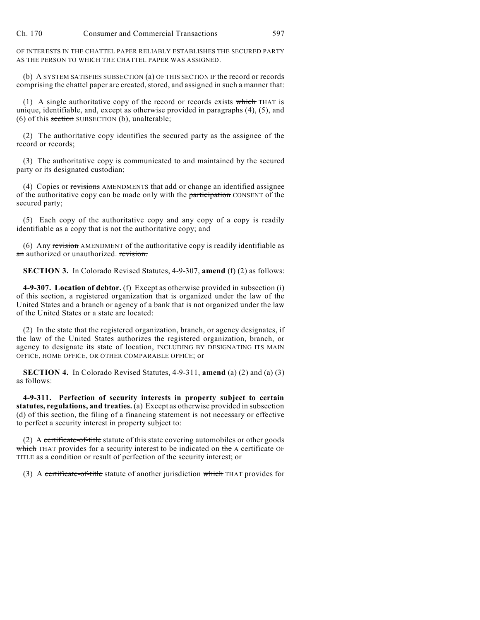OF INTERESTS IN THE CHATTEL PAPER RELIABLY ESTABLISHES THE SECURED PARTY AS THE PERSON TO WHICH THE CHATTEL PAPER WAS ASSIGNED.

(b) A SYSTEM SATISFIES SUBSECTION (a) OF THIS SECTION IF the record or records comprising the chattel paper are created, stored, and assigned in such a manner that:

(1) A single authoritative copy of the record or records exists which THAT is unique, identifiable, and, except as otherwise provided in paragraphs (4), (5), and (6) of this section SUBSECTION (b), unalterable;

(2) The authoritative copy identifies the secured party as the assignee of the record or records;

(3) The authoritative copy is communicated to and maintained by the secured party or its designated custodian;

(4) Copies or revisions AMENDMENTS that add or change an identified assignee of the authoritative copy can be made only with the participation CONSENT of the secured party;

(5) Each copy of the authoritative copy and any copy of a copy is readily identifiable as a copy that is not the authoritative copy; and

(6) Any revision AMENDMENT of the authoritative copy is readily identifiable as an authorized or unauthorized. revision.

**SECTION 3.** In Colorado Revised Statutes, 4-9-307, **amend** (f) (2) as follows:

**4-9-307. Location of debtor.** (f) Except as otherwise provided in subsection (i) of this section, a registered organization that is organized under the law of the United States and a branch or agency of a bank that is not organized under the law of the United States or a state are located:

(2) In the state that the registered organization, branch, or agency designates, if the law of the United States authorizes the registered organization, branch, or agency to designate its state of location, INCLUDING BY DESIGNATING ITS MAIN OFFICE, HOME OFFICE, OR OTHER COMPARABLE OFFICE; or

**SECTION 4.** In Colorado Revised Statutes, 4-9-311, **amend** (a) (2) and (a) (3) as follows:

**4-9-311. Perfection of security interests in property subject to certain statutes, regulations, and treaties.** (a) Except as otherwise provided in subsection (d) of this section, the filing of a financing statement is not necessary or effective to perfect a security interest in property subject to:

(2) A certificate-of-title statute of this state covering automobiles or other goods which THAT provides for a security interest to be indicated on the A certificate OF TITLE as a condition or result of perfection of the security interest; or

(3) A certificate-of-title statute of another jurisdiction which THAT provides for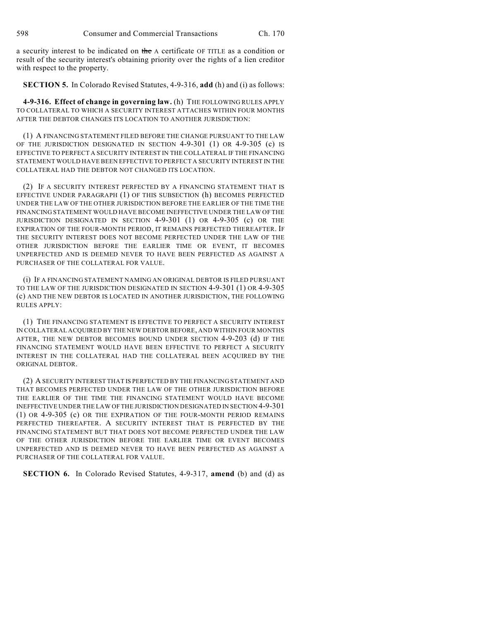a security interest to be indicated on the A certificate OF TITLE as a condition or result of the security interest's obtaining priority over the rights of a lien creditor with respect to the property.

**SECTION 5.** In Colorado Revised Statutes, 4-9-316, **add** (h) and (i) as follows:

**4-9-316. Effect of change in governing law.** (h) THE FOLLOWING RULES APPLY TO COLLATERAL TO WHICH A SECURITY INTEREST ATTACHES WITHIN FOUR MONTHS AFTER THE DEBTOR CHANGES ITS LOCATION TO ANOTHER JURISDICTION:

(1) A FINANCING STATEMENT FILED BEFORE THE CHANGE PURSUANT TO THE LAW OF THE JURISDICTION DESIGNATED IN SECTION 4-9-301 (1) OR 4-9-305 (c) IS EFFECTIVE TO PERFECT A SECURITY INTEREST IN THE COLLATERAL IF THE FINANCING STATEMENT WOULD HAVE BEEN EFFECTIVE TO PERFECT A SECURITY INTEREST IN THE COLLATERAL HAD THE DEBTOR NOT CHANGED ITS LOCATION.

(2) IF A SECURITY INTEREST PERFECTED BY A FINANCING STATEMENT THAT IS EFFECTIVE UNDER PARAGRAPH (1) OF THIS SUBSECTION (h) BECOMES PERFECTED UNDER THE LAW OF THE OTHER JURISDICTION BEFORE THE EARLIER OF THE TIME THE FINANCING STATEMENT WOULD HAVE BECOME INEFFECTIVE UNDER THE LAW OF THE JURISDICTION DESIGNATED IN SECTION 4-9-301 (1) OR 4-9-305 (c) OR THE EXPIRATION OF THE FOUR-MONTH PERIOD, IT REMAINS PERFECTED THEREAFTER. IF THE SECURITY INTEREST DOES NOT BECOME PERFECTED UNDER THE LAW OF THE OTHER JURISDICTION BEFORE THE EARLIER TIME OR EVENT, IT BECOMES UNPERFECTED AND IS DEEMED NEVER TO HAVE BEEN PERFECTED AS AGAINST A PURCHASER OF THE COLLATERAL FOR VALUE.

(i) IF A FINANCING STATEMENT NAMING AN ORIGINAL DEBTOR IS FILED PURSUANT TO THE LAW OF THE JURISDICTION DESIGNATED IN SECTION 4-9-301 (1) OR 4-9-305 (c) AND THE NEW DEBTOR IS LOCATED IN ANOTHER JURISDICTION, THE FOLLOWING RULES APPLY:

(1) THE FINANCING STATEMENT IS EFFECTIVE TO PERFECT A SECURITY INTEREST IN COLLATERAL ACQUIRED BY THE NEW DEBTOR BEFORE, AND WITHIN FOUR MONTHS AFTER, THE NEW DEBTOR BECOMES BOUND UNDER SECTION 4-9-203 (d) IF THE FINANCING STATEMENT WOULD HAVE BEEN EFFECTIVE TO PERFECT A SECURITY INTEREST IN THE COLLATERAL HAD THE COLLATERAL BEEN ACQUIRED BY THE ORIGINAL DEBTOR.

(2) A SECURITY INTEREST THAT IS PERFECTED BY THE FINANCING STATEMENT AND THAT BECOMES PERFECTED UNDER THE LAW OF THE OTHER JURISDICTION BEFORE THE EARLIER OF THE TIME THE FINANCING STATEMENT WOULD HAVE BECOME INEFFECTIVE UNDER THE LAW OF THE JURISDICTION DESIGNATED IN SECTION 4-9-301 (1) OR 4-9-305 (c) OR THE EXPIRATION OF THE FOUR-MONTH PERIOD REMAINS PERFECTED THEREAFTER. A SECURITY INTEREST THAT IS PERFECTED BY THE FINANCING STATEMENT BUT THAT DOES NOT BECOME PERFECTED UNDER THE LAW OF THE OTHER JURISDICTION BEFORE THE EARLIER TIME OR EVENT BECOMES UNPERFECTED AND IS DEEMED NEVER TO HAVE BEEN PERFECTED AS AGAINST A PURCHASER OF THE COLLATERAL FOR VALUE.

**SECTION 6.** In Colorado Revised Statutes, 4-9-317, **amend** (b) and (d) as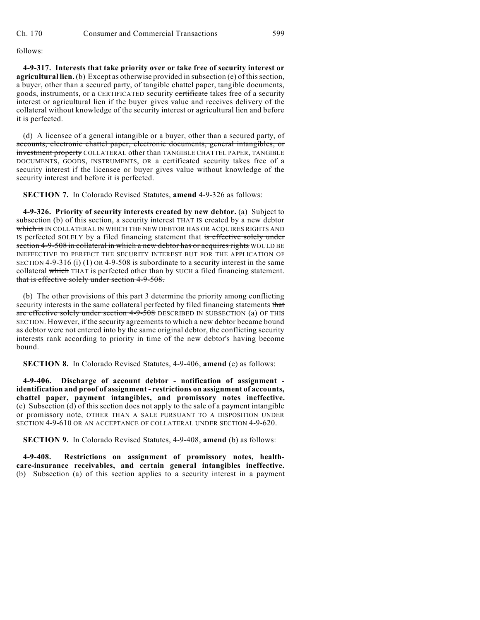follows:

**4-9-317. Interests that take priority over or take free of security interest or agricultural lien.** (b) Except as otherwise provided in subsection (e) of thissection, a buyer, other than a secured party, of tangible chattel paper, tangible documents, goods, instruments, or a CERTIFICATED security certificate takes free of a security interest or agricultural lien if the buyer gives value and receives delivery of the collateral without knowledge of the security interest or agricultural lien and before it is perfected.

(d) A licensee of a general intangible or a buyer, other than a secured party, of accounts, electronic chattel paper, electronic documents, general intangibles, or investment property COLLATERAL other than TANGIBLE CHATTEL PAPER, TANGIBLE DOCUMENTS, GOODS, INSTRUMENTS, OR a certificated security takes free of a security interest if the licensee or buyer gives value without knowledge of the security interest and before it is perfected.

**SECTION 7.** In Colorado Revised Statutes, **amend** 4-9-326 as follows:

**4-9-326. Priority of security interests created by new debtor.** (a) Subject to subsection (b) of this section, a security interest THAT IS created by a new debtor which is IN COLLATERAL IN WHICH THE NEW DEBTOR HAS OR ACQUIRES RIGHTS AND IS perfected SOLELY by a filed financing statement that is effective solely under section 4-9-508 in collateral in which a new debtor has or acquires rights WOULD BE INEFFECTIVE TO PERFECT THE SECURITY INTEREST BUT FOR THE APPLICATION OF SECTION 4-9-316 (i) (1) OR 4-9-508 is subordinate to a security interest in the same collateral which THAT is perfected other than by SUCH a filed financing statement. that is effective solely under section 4-9-508.

(b) The other provisions of this part 3 determine the priority among conflicting security interests in the same collateral perfected by filed financing statements that are effective solely under section 4-9-508 DESCRIBED IN SUBSECTION (a) OF THIS SECTION. However, if the security agreements to which a new debtor became bound as debtor were not entered into by the same original debtor, the conflicting security interests rank according to priority in time of the new debtor's having become bound.

**SECTION 8.** In Colorado Revised Statutes, 4-9-406, **amend** (e) as follows:

**4-9-406. Discharge of account debtor - notification of assignment identification and proof of assignment - restrictions on assignment of accounts, chattel paper, payment intangibles, and promissory notes ineffective.** (e) Subsection (d) of this section does not apply to the sale of a payment intangible or promissory note, OTHER THAN A SALE PURSUANT TO A DISPOSITION UNDER SECTION 4-9-610 OR AN ACCEPTANCE OF COLLATERAL UNDER SECTION 4-9-620.

**SECTION 9.** In Colorado Revised Statutes, 4-9-408, **amend** (b) as follows:

**4-9-408. Restrictions on assignment of promissory notes, healthcare-insurance receivables, and certain general intangibles ineffective.** (b) Subsection (a) of this section applies to a security interest in a payment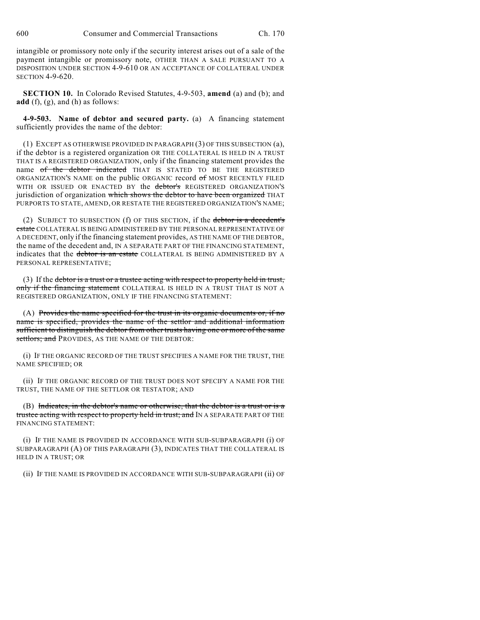intangible or promissory note only if the security interest arises out of a sale of the payment intangible or promissory note, OTHER THAN A SALE PURSUANT TO A DISPOSITION UNDER SECTION 4-9-610 OR AN ACCEPTANCE OF COLLATERAL UNDER SECTION 4-9-620.

**SECTION 10.** In Colorado Revised Statutes, 4-9-503, **amend** (a) and (b); and **add** (f), (g), and (h) as follows:

**4-9-503. Name of debtor and secured party.** (a) A financing statement sufficiently provides the name of the debtor:

(1) EXCEPT AS OTHERWISE PROVIDED IN PARAGRAPH (3) OF THIS SUBSECTION (a), if the debtor is a registered organization OR THE COLLATERAL IS HELD IN A TRUST THAT IS A REGISTERED ORGANIZATION, only if the financing statement provides the name of the debtor indicated THAT IS STATED TO BE THE REGISTERED ORGANIZATION'S NAME on the public ORGANIC record of MOST RECENTLY FILED WITH OR ISSUED OR ENACTED BY the debtor's REGISTERED ORGANIZATION'S jurisdiction of organization which shows the debtor to have been organized THAT PURPORTS TO STATE, AMEND, OR RESTATE THE REGISTERED ORGANIZATION'S NAME;

(2) SUBJECT TO SUBSECTION (f) OF THIS SECTION, if the debtor is a decedent's estate COLLATERAL IS BEING ADMINISTERED BY THE PERSONAL REPRESENTATIVE OF A DECEDENT, only if the financing statement provides, AS THE NAME OF THE DEBTOR, the name of the decedent and, IN A SEPARATE PART OF THE FINANCING STATEMENT, indicates that the debtor is an estate COLLATERAL IS BEING ADMINISTERED BY A PERSONAL REPRESENTATIVE;

(3) If the debtor is a trust or a trustee acting with respect to property held in trust, only if the financing statement COLLATERAL IS HELD IN A TRUST THAT IS NOT A REGISTERED ORGANIZATION, ONLY IF THE FINANCING STATEMENT:

(A) Provides the name specified for the trust in its organic documents or, if no name is specified, provides the name of the settlor and additional information sufficient to distinguish the debtor from other trusts having one or more of the same settlors; and PROVIDES, AS THE NAME OF THE DEBTOR:

(i) IF THE ORGANIC RECORD OF THE TRUST SPECIFIES A NAME FOR THE TRUST, THE NAME SPECIFIED; OR

(ii) IF THE ORGANIC RECORD OF THE TRUST DOES NOT SPECIFY A NAME FOR THE TRUST, THE NAME OF THE SETTLOR OR TESTATOR; AND

(B) Indicates, in the debtor's name or otherwise, that the debtor is a trust or is a trustee acting with respect to property held in trust; and IN A SEPARATE PART OF THE FINANCING STATEMENT:

(i) IF THE NAME IS PROVIDED IN ACCORDANCE WITH SUB-SUBPARAGRAPH (i) OF SUBPARAGRAPH (A) OF THIS PARAGRAPH (3), INDICATES THAT THE COLLATERAL IS HELD IN A TRUST; OR

(ii) IF THE NAME IS PROVIDED IN ACCORDANCE WITH SUB-SUBPARAGRAPH (ii) OF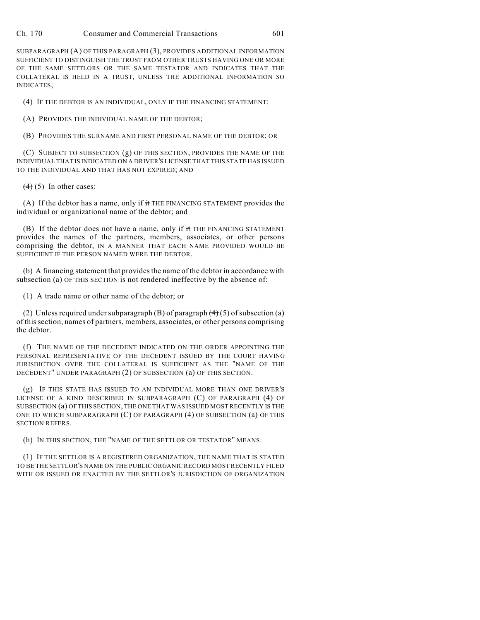Ch. 170 Consumer and Commercial Transactions 601

SUBPARAGRAPH (A) OF THIS PARAGRAPH (3), PROVIDES ADDITIONAL INFORMATION SUFFICIENT TO DISTINGUISH THE TRUST FROM OTHER TRUSTS HAVING ONE OR MORE OF THE SAME SETTLORS OR THE SAME TESTATOR AND INDICATES THAT THE COLLATERAL IS HELD IN A TRUST, UNLESS THE ADDITIONAL INFORMATION SO INDICATES;

(4) IF THE DEBTOR IS AN INDIVIDUAL, ONLY IF THE FINANCING STATEMENT:

(A) PROVIDES THE INDIVIDUAL NAME OF THE DEBTOR;

(B) PROVIDES THE SURNAME AND FIRST PERSONAL NAME OF THE DEBTOR; OR

(C) SUBJECT TO SUBSECTION (g) OF THIS SECTION, PROVIDES THE NAME OF THE INDIVIDUAL THAT IS INDICATED ON A DRIVER'S LICENSE THAT THIS STATE HAS ISSUED TO THE INDIVIDUAL AND THAT HAS NOT EXPIRED; AND

 $(4)$  (5) In other cases:

(A) If the debtor has a name, only if it THE FINANCING STATEMENT provides the individual or organizational name of the debtor; and

(B) If the debtor does not have a name, only if it THE FINANCING STATEMENT provides the names of the partners, members, associates, or other persons comprising the debtor, IN A MANNER THAT EACH NAME PROVIDED WOULD BE SUFFICIENT IF THE PERSON NAMED WERE THE DEBTOR.

(b) A financing statement that provides the name of the debtor in accordance with subsection (a) OF THIS SECTION is not rendered ineffective by the absence of:

(1) A trade name or other name of the debtor; or

(2) Unless required under subparagraph (B) of paragraph  $(4)(5)$  of subsection (a) of this section, names of partners, members, associates, or other persons comprising the debtor.

(f) THE NAME OF THE DECEDENT INDICATED ON THE ORDER APPOINTING THE PERSONAL REPRESENTATIVE OF THE DECEDENT ISSUED BY THE COURT HAVING JURISDICTION OVER THE COLLATERAL IS SUFFICIENT AS THE "NAME OF THE DECEDENT" UNDER PARAGRAPH (2) OF SUBSECTION (a) OF THIS SECTION.

(g) IF THIS STATE HAS ISSUED TO AN INDIVIDUAL MORE THAN ONE DRIVER'S LICENSE OF A KIND DESCRIBED IN SUBPARAGRAPH (C) OF PARAGRAPH (4) OF SUBSECTION (a) OF THIS SECTION, THE ONE THAT WAS ISSUED MOST RECENTLY IS THE ONE TO WHICH SUBPARAGRAPH (C) OF PARAGRAPH (4) OF SUBSECTION (a) OF THIS SECTION REFERS.

(h) IN THIS SECTION, THE "NAME OF THE SETTLOR OR TESTATOR" MEANS:

(1) IF THE SETTLOR IS A REGISTERED ORGANIZATION, THE NAME THAT IS STATED TO BE THE SETTLOR'S NAME ON THE PUBLIC ORGANIC RECORD MOST RECENTLY FILED WITH OR ISSUED OR ENACTED BY THE SETTLOR'S JURISDICTION OF ORGANIZATION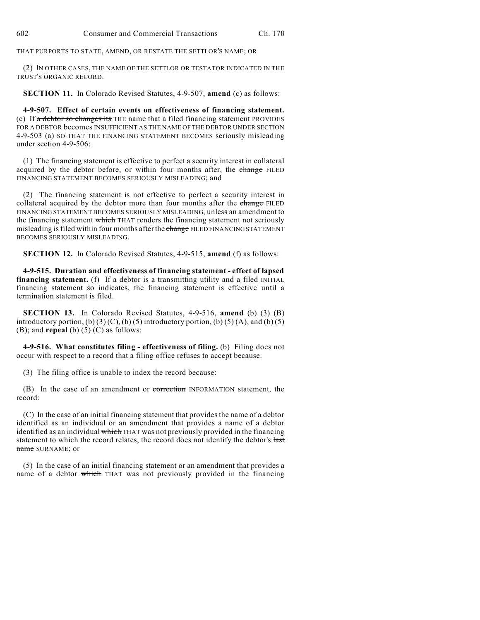THAT PURPORTS TO STATE, AMEND, OR RESTATE THE SETTLOR'S NAME; OR

(2) IN OTHER CASES, THE NAME OF THE SETTLOR OR TESTATOR INDICATED IN THE TRUST'S ORGANIC RECORD.

**SECTION 11.** In Colorado Revised Statutes, 4-9-507, **amend** (c) as follows:

**4-9-507. Effect of certain events on effectiveness of financing statement.** (c) If  $\alpha$  debtor so changes its THE name that a filed financing statement PROVIDES FOR A DEBTOR becomes INSUFFICIENT AS THE NAME OF THE DEBTOR UNDER SECTION 4-9-503 (a) SO THAT THE FINANCING STATEMENT BECOMES seriously misleading under section 4-9-506:

(1) The financing statement is effective to perfect a security interest in collateral acquired by the debtor before, or within four months after, the change FILED FINANCING STATEMENT BECOMES SERIOUSLY MISLEADING; and

(2) The financing statement is not effective to perfect a security interest in collateral acquired by the debtor more than four months after the change FILED FINANCING STATEMENT BECOMES SERIOUSLY MISLEADING, unless an amendment to the financing statement which THAT renders the financing statement not seriously misleading is filed within four months after the change FILED FINANCING STATEMENT BECOMES SERIOUSLY MISLEADING.

**SECTION 12.** In Colorado Revised Statutes, 4-9-515, **amend** (f) as follows:

**4-9-515. Duration and effectiveness of financing statement - effect of lapsed financing statement.** (f) If a debtor is a transmitting utility and a filed INITIAL financing statement so indicates, the financing statement is effective until a termination statement is filed.

**SECTION 13.** In Colorado Revised Statutes, 4-9-516, **amend** (b) (3) (B) introductory portion, (b) (3) (C), (b) (5) introductory portion, (b) (5) (A), and (b) (5) (B); and **repeal** (b)  $(5)$  (C) as follows:

**4-9-516. What constitutes filing - effectiveness of filing.** (b) Filing does not occur with respect to a record that a filing office refuses to accept because:

(3) The filing office is unable to index the record because:

(B) In the case of an amendment or correction INFORMATION statement, the record:

(C) In the case of an initial financing statement that provides the name of a debtor identified as an individual or an amendment that provides a name of a debtor identified as an individual which THAT was not previously provided in the financing statement to which the record relates, the record does not identify the debtor's last name SURNAME; or

(5) In the case of an initial financing statement or an amendment that provides a name of a debtor which THAT was not previously provided in the financing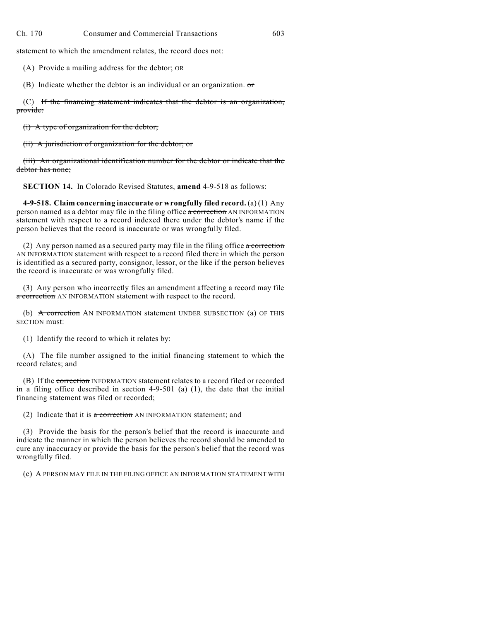statement to which the amendment relates, the record does not:

(A) Provide a mailing address for the debtor; OR

(B) Indicate whether the debtor is an individual or an organization.  $\sigma$ 

(C) If the financing statement indicates that the debtor is an organization, provide:

(i) A type of organization for the debtor;

(ii) A jurisdiction of organization for the debtor; or

(iii) An organizational identification number for the debtor or indicate that the debtor has none;

**SECTION 14.** In Colorado Revised Statutes, **amend** 4-9-518 as follows:

**4-9-518. Claim concerning inaccurate or wrongfully filed record.** (a) (1) Any person named as a debtor may file in the filing office a correction AN INFORMATION statement with respect to a record indexed there under the debtor's name if the person believes that the record is inaccurate or was wrongfully filed.

(2) Any person named as a secured party may file in the filing office  $a$  correction AN INFORMATION statement with respect to a record filed there in which the person is identified as a secured party, consignor, lessor, or the like if the person believes the record is inaccurate or was wrongfully filed.

(3) Any person who incorrectly files an amendment affecting a record may file a correction AN INFORMATION statement with respect to the record.

(b) A correction AN INFORMATION statement UNDER SUBSECTION (a) OF THIS SECTION must:

(1) Identify the record to which it relates by:

(A) The file number assigned to the initial financing statement to which the record relates; and

(B) If the correction INFORMATION statement relates to a record filed or recorded in a filing office described in section 4-9-501 (a) (1), the date that the initial financing statement was filed or recorded;

(2) Indicate that it is  $\alpha$  correction AN INFORMATION statement; and

(3) Provide the basis for the person's belief that the record is inaccurate and indicate the manner in which the person believes the record should be amended to cure any inaccuracy or provide the basis for the person's belief that the record was wrongfully filed.

(c) A PERSON MAY FILE IN THE FILING OFFICE AN INFORMATION STATEMENT WITH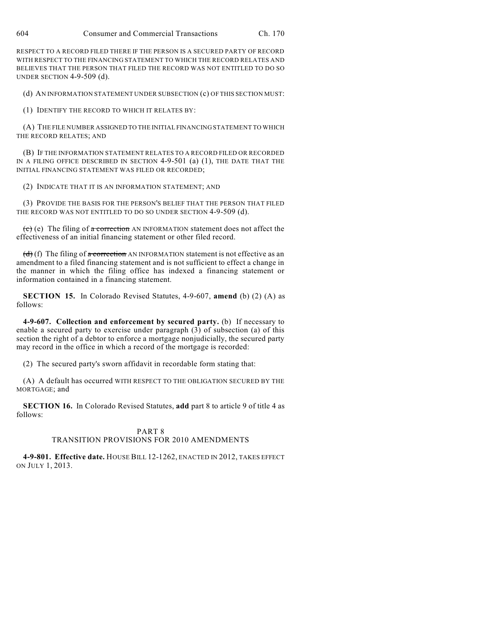RESPECT TO A RECORD FILED THERE IF THE PERSON IS A SECURED PARTY OF RECORD WITH RESPECT TO THE FINANCING STATEMENT TO WHICH THE RECORD RELATES AND BELIEVES THAT THE PERSON THAT FILED THE RECORD WAS NOT ENTITLED TO DO SO UNDER SECTION 4-9-509 (d).

(d) AN INFORMATION STATEMENT UNDER SUBSECTION (c) OF THIS SECTION MUST:

(1) IDENTIFY THE RECORD TO WHICH IT RELATES BY:

(A) THE FILE NUMBER ASSIGNED TO THE INITIAL FINANCING STATEMENT TO WHICH THE RECORD RELATES; AND

(B) IF THE INFORMATION STATEMENT RELATES TO A RECORD FILED OR RECORDED IN A FILING OFFICE DESCRIBED IN SECTION 4-9-501 (a) (1), THE DATE THAT THE INITIAL FINANCING STATEMENT WAS FILED OR RECORDED;

(2) INDICATE THAT IT IS AN INFORMATION STATEMENT; AND

(3) PROVIDE THE BASIS FOR THE PERSON'S BELIEF THAT THE PERSON THAT FILED THE RECORD WAS NOT ENTITLED TO DO SO UNDER SECTION 4-9-509 (d).

 $\overline{(c)}$  (e) The filing of a correction AN INFORMATION statement does not affect the effectiveness of an initial financing statement or other filed record.

 $(d)$  (f) The filing of a correction AN INFORMATION statement is not effective as an amendment to a filed financing statement and is not sufficient to effect a change in the manner in which the filing office has indexed a financing statement or information contained in a financing statement.

**SECTION 15.** In Colorado Revised Statutes, 4-9-607, **amend** (b) (2) (A) as follows:

**4-9-607. Collection and enforcement by secured party.** (b) If necessary to enable a secured party to exercise under paragraph (3) of subsection (a) of this section the right of a debtor to enforce a mortgage nonjudicially, the secured party may record in the office in which a record of the mortgage is recorded:

(2) The secured party's sworn affidavit in recordable form stating that:

(A) A default has occurred WITH RESPECT TO THE OBLIGATION SECURED BY THE MORTGAGE; and

**SECTION 16.** In Colorado Revised Statutes, **add** part 8 to article 9 of title 4 as follows:

### PART 8 TRANSITION PROVISIONS FOR 2010 AMENDMENTS

**4-9-801. Effective date.** HOUSE BILL 12-1262, ENACTED IN 2012, TAKES EFFECT ON JULY 1, 2013.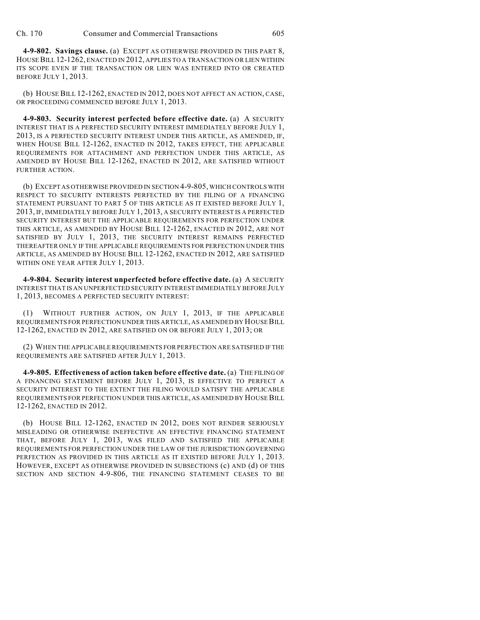Ch. 170 Consumer and Commercial Transactions 605

**4-9-802. Savings clause.** (a) EXCEPT AS OTHERWISE PROVIDED IN THIS PART 8, HOUSEBILL 12-1262, ENACTED IN 2012, APPLIES TO A TRANSACTION OR LIEN WITHIN ITS SCOPE EVEN IF THE TRANSACTION OR LIEN WAS ENTERED INTO OR CREATED BEFORE JULY 1, 2013.

(b) HOUSE BILL 12-1262, ENACTED IN 2012, DOES NOT AFFECT AN ACTION, CASE, OR PROCEEDING COMMENCED BEFORE JULY 1, 2013.

**4-9-803. Security interest perfected before effective date.** (a) A SECURITY INTEREST THAT IS A PERFECTED SECURITY INTEREST IMMEDIATELY BEFORE JULY 1, 2013, IS A PERFECTED SECURITY INTEREST UNDER THIS ARTICLE, AS AMENDED, IF, WHEN HOUSE BILL 12-1262, ENACTED IN 2012, TAKES EFFECT, THE APPLICABLE REQUIREMENTS FOR ATTACHMENT AND PERFECTION UNDER THIS ARTICLE, AS AMENDED BY HOUSE BILL 12-1262, ENACTED IN 2012, ARE SATISFIED WITHOUT FURTHER ACTION.

(b) EXCEPT AS OTHERWISE PROVIDED IN SECTION 4-9-805, WHICH CONTROLS WITH RESPECT TO SECURITY INTERESTS PERFECTED BY THE FILING OF A FINANCING STATEMENT PURSUANT TO PART 5 OF THIS ARTICLE AS IT EXISTED BEFORE JULY 1, 2013, IF, IMMEDIATELY BEFORE JULY 1, 2013, A SECURITY INTEREST IS A PERFECTED SECURITY INTEREST BUT THE APPLICABLE REQUIREMENTS FOR PERFECTION UNDER THIS ARTICLE, AS AMENDED BY HOUSE BILL 12-1262, ENACTED IN 2012, ARE NOT SATISFIED BY JULY 1, 2013, THE SECURITY INTEREST REMAINS PERFECTED THEREAFTER ONLY IF THE APPLICABLE REQUIREMENTS FOR PERFECTION UNDER THIS ARTICLE, AS AMENDED BY HOUSE BILL 12-1262, ENACTED IN 2012, ARE SATISFIED WITHIN ONE YEAR AFTER JULY 1, 2013.

**4-9-804. Security interest unperfected before effective date.** (a) A SECURITY INTEREST THAT IS AN UNPERFECTED SECURITY INTEREST IMMEDIATELY BEFORE JULY 1, 2013, BECOMES A PERFECTED SECURITY INTEREST:

(1) WITHOUT FURTHER ACTION, ON JULY 1, 2013, IF THE APPLICABLE REQUIREMENTS FOR PERFECTION UNDER THIS ARTICLE, AS AMENDED BY HOUSEBILL 12-1262, ENACTED IN 2012, ARE SATISFIED ON OR BEFORE JULY 1, 2013; OR

(2) WHEN THE APPLICABLE REQUIREMENTS FOR PERFECTION ARE SATISFIED IF THE REQUIREMENTS ARE SATISFIED AFTER JULY 1, 2013.

**4-9-805. Effectiveness of action taken before effective date.** (a) THE FILING OF A FINANCING STATEMENT BEFORE JULY 1, 2013, IS EFFECTIVE TO PERFECT A SECURITY INTEREST TO THE EXTENT THE FILING WOULD SATISFY THE APPLICABLE REQUIREMENTS FOR PERFECTION UNDER THIS ARTICLE, AS AMENDED BY HOUSEBILL 12-1262, ENACTED IN 2012.

(b) HOUSE BILL 12-1262, ENACTED IN 2012, DOES NOT RENDER SERIOUSLY MISLEADING OR OTHERWISE INEFFECTIVE AN EFFECTIVE FINANCING STATEMENT THAT, BEFORE JULY 1, 2013, WAS FILED AND SATISFIED THE APPLICABLE REQUIREMENTS FOR PERFECTION UNDER THE LAW OF THE JURISDICTION GOVERNING PERFECTION AS PROVIDED IN THIS ARTICLE AS IT EXISTED BEFORE JULY 1, 2013. HOWEVER, EXCEPT AS OTHERWISE PROVIDED IN SUBSECTIONS (c) AND (d) OF THIS SECTION AND SECTION 4-9-806, THE FINANCING STATEMENT CEASES TO BE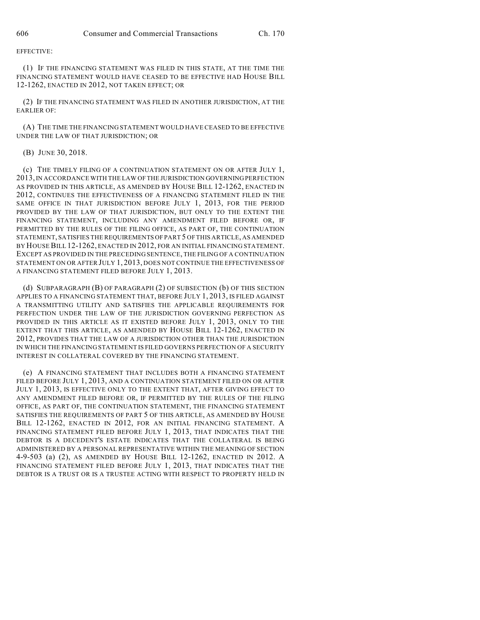#### EFFECTIVE:

(1) IF THE FINANCING STATEMENT WAS FILED IN THIS STATE, AT THE TIME THE FINANCING STATEMENT WOULD HAVE CEASED TO BE EFFECTIVE HAD HOUSE BILL 12-1262, ENACTED IN 2012, NOT TAKEN EFFECT; OR

(2) IF THE FINANCING STATEMENT WAS FILED IN ANOTHER JURISDICTION, AT THE EARLIER OF:

(A) THE TIME THE FINANCING STATEMENT WOULD HAVE CEASED TO BE EFFECTIVE UNDER THE LAW OF THAT JURISDICTION; OR

#### (B) JUNE 30, 2018.

(c) THE TIMELY FILING OF A CONTINUATION STATEMENT ON OR AFTER JULY 1, 2013, IN ACCORDANCE WITH THE LAW OF THE JURISDICTION GOVERNING PERFECTION AS PROVIDED IN THIS ARTICLE, AS AMENDED BY HOUSE BILL 12-1262, ENACTED IN 2012, CONTINUES THE EFFECTIVENESS OF A FINANCING STATEMENT FILED IN THE SAME OFFICE IN THAT JURISDICTION BEFORE JULY 1, 2013, FOR THE PERIOD PROVIDED BY THE LAW OF THAT JURISDICTION, BUT ONLY TO THE EXTENT THE FINANCING STATEMENT, INCLUDING ANY AMENDMENT FILED BEFORE OR, IF PERMITTED BY THE RULES OF THE FILING OFFICE, AS PART OF, THE CONTINUATION STATEMENT, SATISFIES THE REQUIREMENTS OF PART 5 OF THIS ARTICLE, AS AMENDED BY HOUSEBILL 12-1262, ENACTED IN 2012, FOR AN INITIAL FINANCING STATEMENT. EXCEPT AS PROVIDED IN THE PRECEDING SENTENCE, THE FILING OF A CONTINUATION STATEMENT ON OR AFTER JULY 1, 2013, DOES NOT CONTINUE THE EFFECTIVENESS OF A FINANCING STATEMENT FILED BEFORE JULY 1, 2013.

(d) SUBPARAGRAPH (B) OF PARAGRAPH (2) OF SUBSECTION (b) OF THIS SECTION APPLIES TO A FINANCING STATEMENT THAT, BEFORE JULY 1, 2013, IS FILED AGAINST A TRANSMITTING UTILITY AND SATISFIES THE APPLICABLE REQUIREMENTS FOR PERFECTION UNDER THE LAW OF THE JURISDICTION GOVERNING PERFECTION AS PROVIDED IN THIS ARTICLE AS IT EXISTED BEFORE JULY 1, 2013, ONLY TO THE EXTENT THAT THIS ARTICLE, AS AMENDED BY HOUSE BILL 12-1262, ENACTED IN 2012, PROVIDES THAT THE LAW OF A JURISDICTION OTHER THAN THE JURISDICTION IN WHICH THE FINANCING STATEMENT IS FILED GOVERNS PERFECTION OF A SECURITY INTEREST IN COLLATERAL COVERED BY THE FINANCING STATEMENT.

(e) A FINANCING STATEMENT THAT INCLUDES BOTH A FINANCING STATEMENT FILED BEFORE JULY 1, 2013, AND A CONTINUATION STATEMENT FILED ON OR AFTER JULY 1, 2013, IS EFFECTIVE ONLY TO THE EXTENT THAT, AFTER GIVING EFFECT TO ANY AMENDMENT FILED BEFORE OR, IF PERMITTED BY THE RULES OF THE FILING OFFICE, AS PART OF, THE CONTINUATION STATEMENT, THE FINANCING STATEMENT SATISFIES THE REQUIREMENTS OF PART 5 OF THIS ARTICLE, AS AMENDED BY HOUSE BILL 12-1262, ENACTED IN 2012, FOR AN INITIAL FINANCING STATEMENT. A FINANCING STATEMENT FILED BEFORE JULY 1, 2013, THAT INDICATES THAT THE DEBTOR IS A DECEDENT'S ESTATE INDICATES THAT THE COLLATERAL IS BEING ADMINISTERED BY A PERSONAL REPRESENTATIVE WITHIN THE MEANING OF SECTION 4-9-503 (a) (2), AS AMENDED BY HOUSE BILL 12-1262, ENACTED IN 2012. A FINANCING STATEMENT FILED BEFORE JULY 1, 2013, THAT INDICATES THAT THE DEBTOR IS A TRUST OR IS A TRUSTEE ACTING WITH RESPECT TO PROPERTY HELD IN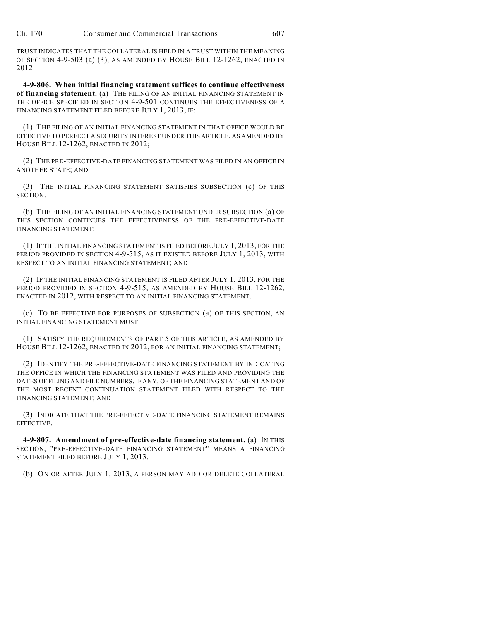TRUST INDICATES THAT THE COLLATERAL IS HELD IN A TRUST WITHIN THE MEANING OF SECTION 4-9-503 (a) (3), AS AMENDED BY HOUSE BILL 12-1262, ENACTED IN 2012.

**4-9-806. When initial financing statement suffices to continue effectiveness of financing statement.** (a) THE FILING OF AN INITIAL FINANCING STATEMENT IN THE OFFICE SPECIFIED IN SECTION 4-9-501 CONTINUES THE EFFECTIVENESS OF A FINANCING STATEMENT FILED BEFORE JULY 1, 2013, IF:

(1) THE FILING OF AN INITIAL FINANCING STATEMENT IN THAT OFFICE WOULD BE EFFECTIVE TO PERFECT A SECURITY INTEREST UNDER THIS ARTICLE, AS AMENDED BY HOUSE BILL 12-1262, ENACTED IN 2012;

(2) THE PRE-EFFECTIVE-DATE FINANCING STATEMENT WAS FILED IN AN OFFICE IN ANOTHER STATE; AND

(3) THE INITIAL FINANCING STATEMENT SATISFIES SUBSECTION (c) OF THIS SECTION.

(b) THE FILING OF AN INITIAL FINANCING STATEMENT UNDER SUBSECTION (a) OF THIS SECTION CONTINUES THE EFFECTIVENESS OF THE PRE-EFFECTIVE-DATE FINANCING STATEMENT:

(1) IF THE INITIAL FINANCING STATEMENT IS FILED BEFORE JULY 1, 2013, FOR THE PERIOD PROVIDED IN SECTION 4-9-515, AS IT EXISTED BEFORE JULY 1, 2013, WITH RESPECT TO AN INITIAL FINANCING STATEMENT; AND

(2) IF THE INITIAL FINANCING STATEMENT IS FILED AFTER JULY 1, 2013, FOR THE PERIOD PROVIDED IN SECTION 4-9-515, AS AMENDED BY HOUSE BILL 12-1262, ENACTED IN 2012, WITH RESPECT TO AN INITIAL FINANCING STATEMENT.

(c) TO BE EFFECTIVE FOR PURPOSES OF SUBSECTION (a) OF THIS SECTION, AN INITIAL FINANCING STATEMENT MUST:

(1) SATISFY THE REQUIREMENTS OF PART 5 OF THIS ARTICLE, AS AMENDED BY HOUSE BILL 12-1262, ENACTED IN 2012, FOR AN INITIAL FINANCING STATEMENT;

(2) IDENTIFY THE PRE-EFFECTIVE-DATE FINANCING STATEMENT BY INDICATING THE OFFICE IN WHICH THE FINANCING STATEMENT WAS FILED AND PROVIDING THE DATES OF FILING AND FILE NUMBERS, IF ANY, OF THE FINANCING STATEMENT AND OF THE MOST RECENT CONTINUATION STATEMENT FILED WITH RESPECT TO THE FINANCING STATEMENT; AND

(3) INDICATE THAT THE PRE-EFFECTIVE-DATE FINANCING STATEMENT REMAINS EFFECTIVE.

**4-9-807. Amendment of pre-effective-date financing statement.** (a) IN THIS SECTION, "PRE-EFFECTIVE-DATE FINANCING STATEMENT" MEANS A FINANCING STATEMENT FILED BEFORE JULY 1, 2013.

(b) ON OR AFTER JULY 1, 2013, A PERSON MAY ADD OR DELETE COLLATERAL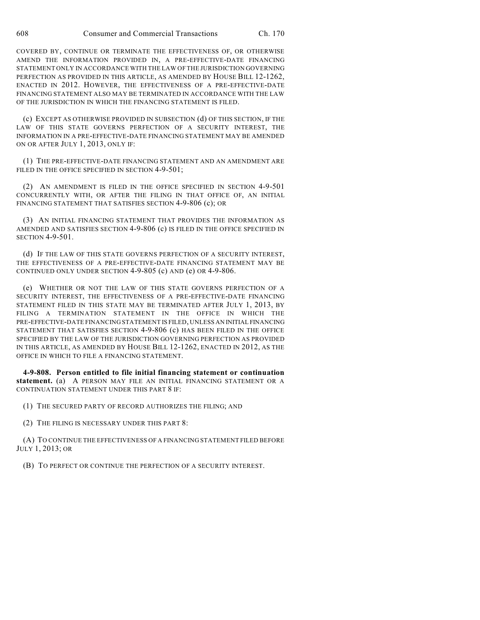COVERED BY, CONTINUE OR TERMINATE THE EFFECTIVENESS OF, OR OTHERWISE AMEND THE INFORMATION PROVIDED IN, A PRE-EFFECTIVE-DATE FINANCING STATEMENT ONLY IN ACCORDANCE WITH THE LAW OF THE JURISDICTION GOVERNING PERFECTION AS PROVIDED IN THIS ARTICLE, AS AMENDED BY HOUSE BILL 12-1262, ENACTED IN 2012. HOWEVER, THE EFFECTIVENESS OF A PRE-EFFECTIVE-DATE FINANCING STATEMENT ALSO MAY BE TERMINATED IN ACCORDANCE WITH THE LAW OF THE JURISDICTION IN WHICH THE FINANCING STATEMENT IS FILED.

(c) EXCEPT AS OTHERWISE PROVIDED IN SUBSECTION (d) OF THIS SECTION, IF THE LAW OF THIS STATE GOVERNS PERFECTION OF A SECURITY INTEREST, THE INFORMATION IN A PRE-EFFECTIVE-DATE FINANCING STATEMENT MAY BE AMENDED ON OR AFTER JULY 1, 2013, ONLY IF:

(1) THE PRE-EFFECTIVE-DATE FINANCING STATEMENT AND AN AMENDMENT ARE FILED IN THE OFFICE SPECIFIED IN SECTION 4-9-501:

(2) AN AMENDMENT IS FILED IN THE OFFICE SPECIFIED IN SECTION 4-9-501 CONCURRENTLY WITH, OR AFTER THE FILING IN THAT OFFICE OF, AN INITIAL FINANCING STATEMENT THAT SATISFIES SECTION 4-9-806 (c); OR

(3) AN INITIAL FINANCING STATEMENT THAT PROVIDES THE INFORMATION AS AMENDED AND SATISFIES SECTION 4-9-806 (c) IS FILED IN THE OFFICE SPECIFIED IN SECTION 4-9-501.

(d) IF THE LAW OF THIS STATE GOVERNS PERFECTION OF A SECURITY INTEREST, THE EFFECTIVENESS OF A PRE-EFFECTIVE-DATE FINANCING STATEMENT MAY BE CONTINUED ONLY UNDER SECTION 4-9-805 (c) AND (e) OR 4-9-806.

(e) WHETHER OR NOT THE LAW OF THIS STATE GOVERNS PERFECTION OF A SECURITY INTEREST, THE EFFECTIVENESS OF A PRE-EFFECTIVE-DATE FINANCING STATEMENT FILED IN THIS STATE MAY BE TERMINATED AFTER JULY 1, 2013, BY FILING A TERMINATION STATEMENT IN THE OFFICE IN WHICH THE PRE-EFFECTIVE-DATE FINANCING STATEMENT IS FILED, UNLESS AN INITIAL FINANCING STATEMENT THAT SATISFIES SECTION 4-9-806 (c) HAS BEEN FILED IN THE OFFICE SPECIFIED BY THE LAW OF THE JURISDICTION GOVERNING PERFECTION AS PROVIDED IN THIS ARTICLE, AS AMENDED BY HOUSE BILL 12-1262, ENACTED IN 2012, AS THE OFFICE IN WHICH TO FILE A FINANCING STATEMENT.

**4-9-808. Person entitled to file initial financing statement or continuation statement.** (a) A PERSON MAY FILE AN INITIAL FINANCING STATEMENT OR A CONTINUATION STATEMENT UNDER THIS PART 8 IF:

(1) THE SECURED PARTY OF RECORD AUTHORIZES THE FILING; AND

(2) THE FILING IS NECESSARY UNDER THIS PART 8:

(A) TO CONTINUE THE EFFECTIVENESS OF A FINANCING STATEMENT FILED BEFORE JULY 1, 2013; OR

(B) TO PERFECT OR CONTINUE THE PERFECTION OF A SECURITY INTEREST.